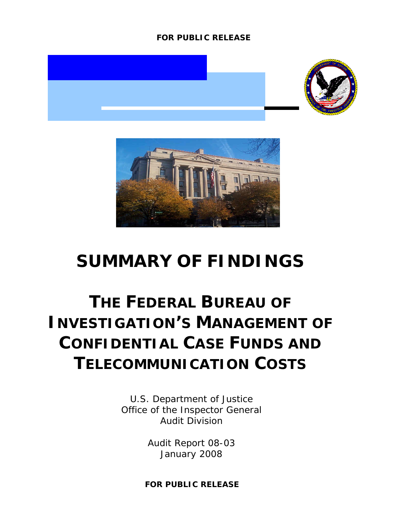#### **FOR PUBLIC RELEASE**





## **SUMMARY OF FINDINGS**

# **THE FEDERAL BUREAU OF INVESTIGATION'S MANAGEMENT OF CONFIDENTIAL CASE FUNDS AND TELECOMMUNICATION COSTS**

U.S. Department of Justice Office of the Inspector General Audit Division

> Audit Report 08-03 January 2008

**FOR PUBLIC RELEASE**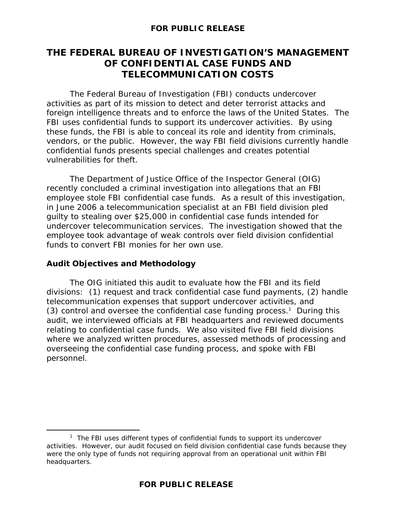#### **FOR PUBLIC RELEASE**

### **THE FEDERAL BUREAU OF INVESTIGATION'S MANAGEMENT OF CONFIDENTIAL CASE FUNDS AND TELECOMMUNICATION COSTS**

 The Federal Bureau of Investigation (FBI) conducts undercover activities as part of its mission to detect and deter terrorist attacks and foreign intelligence threats and to enforce the laws of the United States. The FBI uses confidential funds to support its undercover activities. By using these funds, the FBI is able to conceal its role and identity from criminals, vendors, or the public. However, the way FBI field divisions currently handle confidential funds presents special challenges and creates potential vulnerabilities for theft.

The Department of Justice Office of the Inspector General (OIG) recently concluded a criminal investigation into allegations that an FBI employee stole FBI confidential case funds. As a result of this investigation, in June 2006 a telecommunication specialist at an FBI field division pled guilty to stealing over \$25,000 in confidential case funds intended for undercover telecommunication services. The investigation showed that the employee took advantage of weak controls over field division confidential funds to convert FBI monies for her own use.

#### **Audit Objectives and Methodology**

The OIG initiated this audit to evaluate how the FBI and its field divisions: (1) request and track confidential case fund payments, (2) handle telecommunication expenses that support undercover activities, and (3) control and oversee the confidential case funding process.<sup>1</sup> During this audit, we interviewed officials at FBI headquarters and reviewed documents relating to confidential case funds. We also visited five FBI field divisions where we analyzed written procedures, assessed methods of processing and overseeing the confidential case funding process, and spoke with FBI personnel.

 $\overline{\phantom{a}}$  $1$  The FBI uses different types of confidential funds to support its undercover activities. However, our audit focused on field division confidential case funds because they were the only type of funds not requiring approval from an operational unit within FBI headquarters.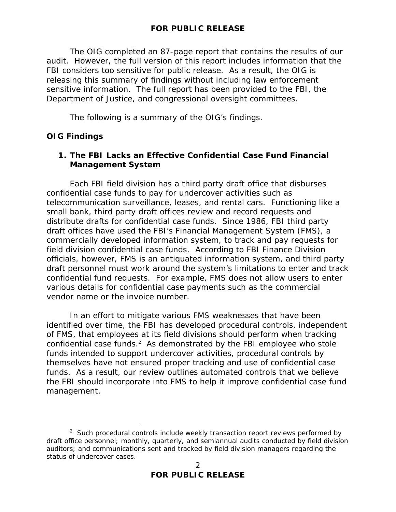The OIG completed an 87-page report that contains the results of our audit. However, the full version of this report includes information that the FBI considers too sensitive for public release. As a result, the OIG is releasing this summary of findings without including law enforcement sensitive information. The full report has been provided to the FBI, the Department of Justice, and congressional oversight committees.

The following is a summary of the OIG's findings.

#### **OIG Findings**

#### **1. The FBI Lacks an Effective Confidential Case Fund Financial Management System**

Each FBI field division has a third party draft office that disburses confidential case funds to pay for undercover activities such as telecommunication surveillance, leases, and rental cars. Functioning like a small bank, third party draft offices review and record requests and distribute drafts for confidential case funds. Since 1986, FBI third party draft offices have used the FBI's Financial Management System (FMS), a commercially developed information system, to track and pay requests for field division confidential case funds. According to FBI Finance Division officials, however, FMS is an antiquated information system, and third party draft personnel must work around the system's limitations to enter and track confidential fund requests. For example, FMS does not allow users to enter various details for confidential case payments such as the commercial vendor name or the invoice number.

In an effort to mitigate various FMS weaknesses that have been identified over time, the FBI has developed procedural controls, independent of FMS, that employees at its field divisions should perform when tracking confidential case funds. $2$  As demonstrated by the FBI employee who stole funds intended to support undercover activities, procedural controls by themselves have not ensured proper tracking and use of confidential case funds. As a result, our review outlines automated controls that we believe the FBI should incorporate into FMS to help it improve confidential case fund management.

 $\overline{\phantom{a}}$  2  $\frac{2}{3}$  Such procedural controls include weekly transaction report reviews performed by draft office personnel; monthly, quarterly, and semiannual audits conducted by field division auditors; and communications sent and tracked by field division managers regarding the status of undercover cases.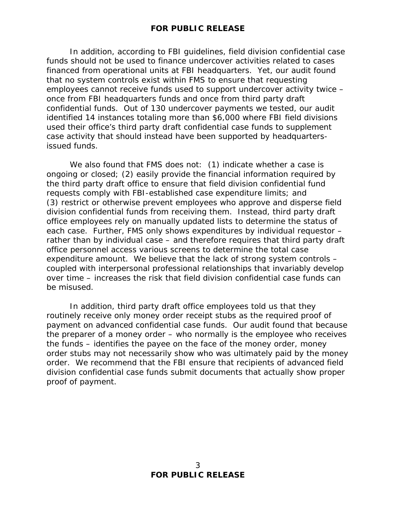In addition, according to FBI guidelines, field division confidential case funds should not be used to finance undercover activities related to cases financed from operational units at FBI headquarters. Yet, our audit found that no system controls exist within FMS to ensure that requesting employees cannot receive funds used to support undercover activity twice – once from FBI headquarters funds and once from third party draft confidential funds. Out of 130 undercover payments we tested, our audit identified 14 instances totaling more than \$6,000 where FBI field divisions used their office's third party draft confidential case funds to supplement case activity that should instead have been supported by headquartersissued funds.

We also found that FMS does not: (1) indicate whether a case is ongoing or closed; (2) easily provide the financial information required by the third party draft office to ensure that field division confidential fund requests comply with FBI-established case expenditure limits; and (3) restrict or otherwise prevent employees who approve and disperse field division confidential funds from receiving them. Instead, third party draft office employees rely on manually updated lists to determine the status of each case. Further, FMS only shows expenditures by individual requestor – rather than by individual case – and therefore requires that third party draft office personnel access various screens to determine the total case expenditure amount. We believe that the lack of strong system controls – coupled with interpersonal professional relationships that invariably develop over time – increases the risk that field division confidential case funds can be misused.

 In addition, third party draft office employees told us that they routinely receive only money order receipt stubs as the required proof of payment on advanced confidential case funds. Our audit found that because the preparer of a money order – who normally is the employee who receives the funds – identifies the payee on the face of the money order, money order stubs may not necessarily show who was ultimately paid by the money order. We recommend that the FBI ensure that recipients of advanced field division confidential case funds submit documents that actually show proper proof of payment.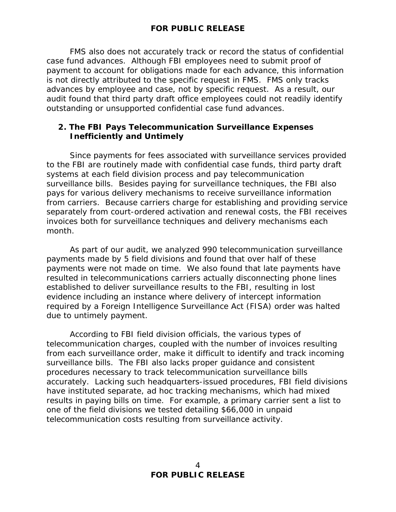FMS also does not accurately track or record the status of confidential case fund advances. Although FBI employees need to submit proof of payment to account for obligations made for each advance, this information is not directly attributed to the specific request in FMS. FMS only tracks advances by employee and case, not by specific request. As a result, our audit found that third party draft office employees could not readily identify outstanding or unsupported confidential case fund advances.

#### **2. The FBI Pays Telecommunication Surveillance Expenses Inefficiently and Untimely**

Since payments for fees associated with surveillance services provided to the FBI are routinely made with confidential case funds, third party draft systems at each field division process and pay telecommunication surveillance bills. Besides paying for surveillance techniques, the FBI also pays for various delivery mechanisms to receive surveillance information from carriers. Because carriers charge for establishing and providing service separately from court-ordered activation and renewal costs, the FBI receives invoices both for surveillance techniques and delivery mechanisms each month.

As part of our audit, we analyzed 990 telecommunication surveillance payments made by 5 field divisions and found that over half of these payments were not made on time. We also found that late payments have resulted in telecommunications carriers actually disconnecting phone lines established to deliver surveillance results to the FBI, resulting in lost evidence including an instance where delivery of intercept information required by a Foreign Intelligence Surveillance Act (FISA) order was halted due to untimely payment.

According to FBI field division officials, the various types of telecommunication charges, coupled with the number of invoices resulting from each surveillance order, make it difficult to identify and track incoming surveillance bills. The FBI also lacks proper guidance and consistent procedures necessary to track telecommunication surveillance bills accurately. Lacking such headquarters-issued procedures, FBI field divisions have instituted separate, ad hoc tracking mechanisms, which had mixed results in paying bills on time. For example, a primary carrier sent a list to one of the field divisions we tested detailing \$66,000 in unpaid telecommunication costs resulting from surveillance activity.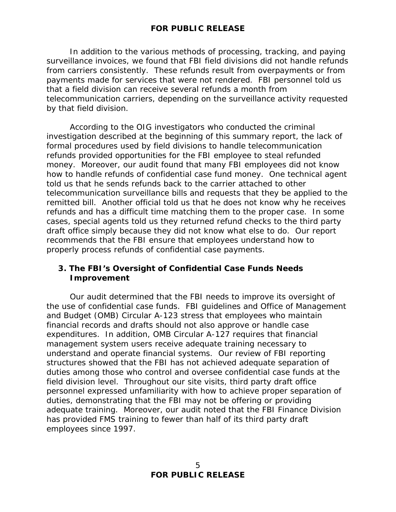In addition to the various methods of processing, tracking, and paying surveillance invoices, we found that FBI field divisions did not handle refunds from carriers consistently. These refunds result from overpayments or from payments made for services that were not rendered. FBI personnel told us that a field division can receive several refunds a month from telecommunication carriers, depending on the surveillance activity requested by that field division.

According to the OIG investigators who conducted the criminal investigation described at the beginning of this summary report, the lack of formal procedures used by field divisions to handle telecommunication refunds provided opportunities for the FBI employee to steal refunded money. Moreover, our audit found that many FBI employees did not know how to handle refunds of confidential case fund money. One technical agent told us that he sends refunds back to the carrier attached to other telecommunication surveillance bills and requests that they be applied to the remitted bill. Another official told us that he does not know why he receives refunds and has a difficult time matching them to the proper case. In some cases, special agents told us they returned refund checks to the third party draft office simply because they did not know what else to do. Our report recommends that the FBI ensure that employees understand how to properly process refunds of confidential case payments.

#### **3. The FBI's Oversight of Confidential Case Funds Needs Improvement**

 Our audit determined that the FBI needs to improve its oversight of the use of confidential case funds. FBI guidelines and Office of Management and Budget (OMB) Circular A-123 stress that employees who maintain financial records and drafts should not also approve or handle case expenditures. In addition, OMB Circular A-127 requires that financial management system users receive adequate training necessary to understand and operate financial systems. Our review of FBI reporting structures showed that the FBI has not achieved adequate separation of duties among those who control and oversee confidential case funds at the field division level. Throughout our site visits, third party draft office personnel expressed unfamiliarity with how to achieve proper separation of duties, demonstrating that the FBI may not be offering or providing adequate training. Moreover, our audit noted that the FBI Finance Division has provided FMS training to fewer than half of its third party draft employees since 1997.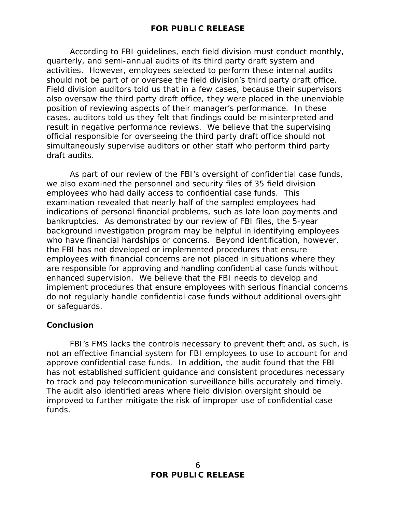According to FBI guidelines, each field division must conduct monthly, quarterly, and semi-annual audits of its third party draft system and activities. However, employees selected to perform these internal audits should not be part of or oversee the field division's third party draft office. Field division auditors told us that in a few cases, because their supervisors also oversaw the third party draft office, they were placed in the unenviable position of reviewing aspects of their manager's performance. In these cases, auditors told us they felt that findings could be misinterpreted and result in negative performance reviews. We believe that the supervising official responsible for overseeing the third party draft office should not simultaneously supervise auditors or other staff who perform third party draft audits.

 As part of our review of the FBI's oversight of confidential case funds, we also examined the personnel and security files of 35 field division employees who had daily access to confidential case funds. This examination revealed that nearly half of the sampled employees had indications of personal financial problems, such as late loan payments and bankruptcies. As demonstrated by our review of FBI files, the 5-year background investigation program may be helpful in identifying employees who have financial hardships or concerns. Beyond identification, however, the FBI has not developed or implemented procedures that ensure employees with financial concerns are not placed in situations where they are responsible for approving and handling confidential case funds without enhanced supervision. We believe that the FBI needs to develop and implement procedures that ensure employees with serious financial concerns do not regularly handle confidential case funds without additional oversight or safeguards.

#### **Conclusion**

 FBI's FMS lacks the controls necessary to prevent theft and, as such, is not an effective financial system for FBI employees to use to account for and approve confidential case funds. In addition, the audit found that the FBI has not established sufficient guidance and consistent procedures necessary to track and pay telecommunication surveillance bills accurately and timely. The audit also identified areas where field division oversight should be improved to further mitigate the risk of improper use of confidential case funds.